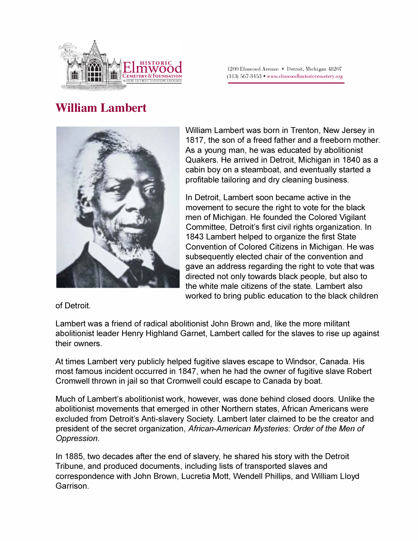

## **William Lambert**



William Lambert was born in Trenton, New Jersey in 1817, the son of a freed father and a freeborn mother. As a young man, he was educated by abolitionist Quakers. He arrived in Detroit, Michigan in 1840 as a cabin boy on a steamboat, and eventually started a profitable tailoring and dry cleaning business.

In Detroit, Lambert soon became active in the movement to secure the right to vote for the black men of Michigan. He founded the Colored Vigilant Committee, Detroit's first civil rights organization. In 1843 Lambert helped to organize the first State Convention of Colored Citizens in Michigan. He was subsequently elected chair of the convention and gave an address regarding the right to vote that was directed not only towards black people, but also to the white male citizens of the state. Lambert also worked to bring public education to the black children

of Detroit.

Lambert was a friend of radical abolitionist John Brown and, like the more militant abolitionist leader Henry Highland Garnet, Lambert called for the slaves to rise up against their owners.

At times Lambert very publicly helped fugitive slaves escape to Windsor, Canada. His most famous incident occurred in 1847, when he had the owner of fugitive slave Robert Cromwell thrown in jail so that Cromwell could escape to Canada by boat.

Much of Lambert's abolitionist work, however, was done behind closed doors. Unlike the abolitionist movements that emerged in other Northern states, African Americans were excluded from Detroit's Anti-slavery Society. Lambert later claimed to be the creator and president of the secret organization, *African-American Mysteries: Order of the Men of Oppression.* 

In 1885, two decades after the end of slavery, he shared his story with the Detroit Tribune, and produced documents, including lists of transported slaves and correspondence with John Brown, Lucretia Mott, Wendell Phillips, and William Lloyd Garrison.